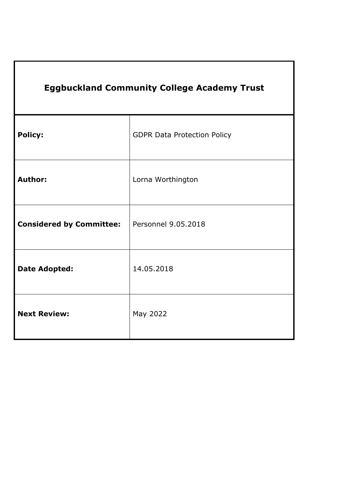| <b>Eggbuckland Community College Academy Trust</b> |                                    |
|----------------------------------------------------|------------------------------------|
| <b>Policy:</b>                                     | <b>GDPR Data Protection Policy</b> |
| <b>Author:</b>                                     | Lorna Worthington                  |
| <b>Considered by Committee:</b>                    | Personnel 9.05.2018                |
| <b>Date Adopted:</b>                               | 14.05.2018                         |
| <b>Next Review:</b>                                | May 2022                           |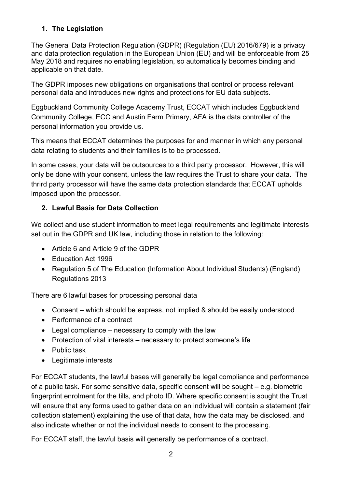## **1. The Legislation**

The General Data Protection Regulation (GDPR) (Regulation (EU) 2016/679) is a privacy and data protection regulation in the European Union (EU) and will be enforceable from 25 May 2018 and requires no enabling legislation, so automatically becomes binding and applicable on that date.

The GDPR imposes new obligations on organisations that control or process relevant personal data and introduces new rights and protections for EU data subjects.

Eggbuckland Community College Academy Trust, ECCAT which includes Eggbuckland Community College, ECC and Austin Farm Primary, AFA is the data controller of the personal information you provide us.

This means that ECCAT determines the purposes for and manner in which any personal data relating to students and their families is to be processed.

In some cases, your data will be outsources to a third party processor. However, this will only be done with your consent, unless the law requires the Trust to share your data. The thrird party processor will have the same data protection standards that ECCAT upholds imposed upon the processor.

### **2. Lawful Basis for Data Collection**

We collect and use student information to meet legal requirements and legitimate interests set out in the GDPR and UK law, including those in relation to the following:

- Article 6 and Article 9 of the GDPR
- Education Act 1996
- Regulation 5 of The Education (Information About Individual Students) (England) Regulations 2013

There are 6 lawful bases for processing personal data

- Consent which should be express, not implied & should be easily understood
- Performance of a contract
- Legal compliance necessary to comply with the law
- Protection of vital interests necessary to protect someone's life
- Public task
- Legitimate interests

For ECCAT students, the lawful bases will generally be legal compliance and performance of a public task. For some sensitive data, specific consent will be sought – e.g. biometric fingerprint enrolment for the tills, and photo ID. Where specific consent is sought the Trust will ensure that any forms used to gather data on an individual will contain a statement (fair collection statement) explaining the use of that data, how the data may be disclosed, and also indicate whether or not the individual needs to consent to the processing.

For ECCAT staff, the lawful basis will generally be performance of a contract.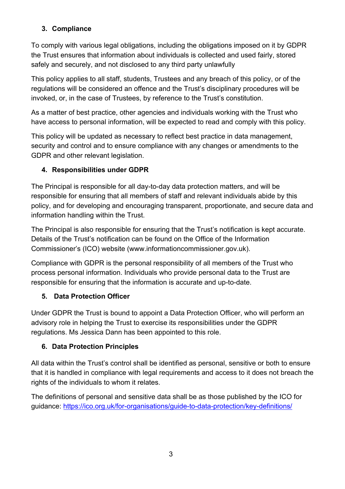# **3. Compliance**

To comply with various legal obligations, including the obligations imposed on it by GDPR the Trust ensures that information about individuals is collected and used fairly, stored safely and securely, and not disclosed to any third party unlawfully

This policy applies to all staff, students, Trustees and any breach of this policy, or of the regulations will be considered an offence and the Trust's disciplinary procedures will be invoked, or, in the case of Trustees, by reference to the Trust's constitution.

As a matter of best practice, other agencies and individuals working with the Trust who have access to personal information, will be expected to read and comply with this policy.

This policy will be updated as necessary to reflect best practice in data management, security and control and to ensure compliance with any changes or amendments to the GDPR and other relevant legislation.

# **4. Responsibilities under GDPR**

The Principal is responsible for all day-to-day data protection matters, and will be responsible for ensuring that all members of staff and relevant individuals abide by this policy, and for developing and encouraging transparent, proportionate, and secure data and information handling within the Trust.

The Principal is also responsible for ensuring that the Trust's notification is kept accurate. Details of the Trust's notification can be found on the Office of the Information Commissioner's (ICO) website (www.informationcommissioner.gov.uk).

Compliance with GDPR is the personal responsibility of all members of the Trust who process personal information. Individuals who provide personal data to the Trust are responsible for ensuring that the information is accurate and up-to-date.

# **5. Data Protection Officer**

Under GDPR the Trust is bound to appoint a Data Protection Officer, who will perform an advisory role in helping the Trust to exercise its responsibilities under the GDPR regulations. Ms Jessica Dann has been appointed to this role.

# **6. Data Protection Principles**

All data within the Trust's control shall be identified as personal, sensitive or both to ensure that it is handled in compliance with legal requirements and access to it does not breach the rights of the individuals to whom it relates.

The definitions of personal and sensitive data shall be as those published by the ICO for guidance: https://ico.org.uk/for-organisations/guide-to-data-protection/key-definitions/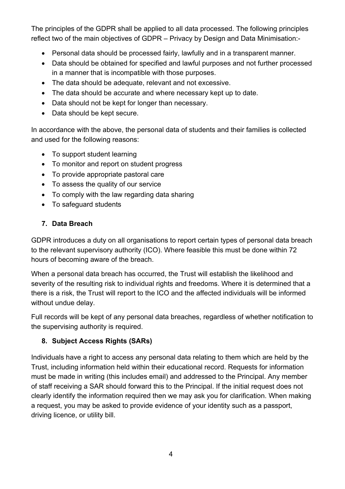The principles of the GDPR shall be applied to all data processed. The following principles reflect two of the main objectives of GDPR – Privacy by Design and Data Minimisation:-

- Personal data should be processed fairly, lawfully and in a transparent manner.
- Data should be obtained for specified and lawful purposes and not further processed in a manner that is incompatible with those purposes.
- The data should be adequate, relevant and not excessive.
- The data should be accurate and where necessary kept up to date.
- Data should not be kept for longer than necessary.
- Data should be kept secure.

In accordance with the above, the personal data of students and their families is collected and used for the following reasons:

- To support student learning
- To monitor and report on student progress
- To provide appropriate pastoral care
- To assess the quality of our service
- To comply with the law regarding data sharing
- To safeguard students

## **7. Data Breach**

GDPR introduces a duty on all organisations to report certain types of personal data breach to the relevant supervisory authority (ICO). Where feasible this must be done within 72 hours of becoming aware of the breach.

When a personal data breach has occurred, the Trust will establish the likelihood and severity of the resulting risk to individual rights and freedoms. Where it is determined that a there is a risk, the Trust will report to the ICO and the affected individuals will be informed without undue delay.

Full records will be kept of any personal data breaches, regardless of whether notification to the supervising authority is required.

## **8. Subject Access Rights (SARs)**

Individuals have a right to access any personal data relating to them which are held by the Trust, including information held within their educational record. Requests for information must be made in writing (this includes email) and addressed to the Principal. Any member of staff receiving a SAR should forward this to the Principal. If the initial request does not clearly identify the information required then we may ask you for clarification. When making a request, you may be asked to provide evidence of your identity such as a passport, driving licence, or utility bill.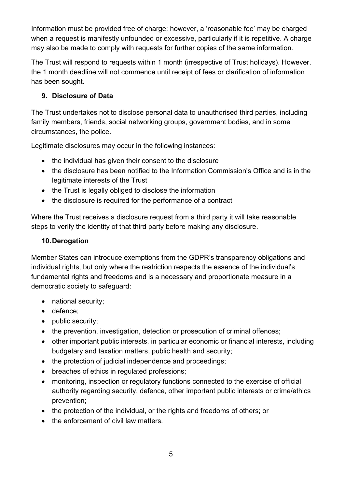Information must be provided free of charge; however, a 'reasonable fee' may be charged when a request is manifestly unfounded or excessive, particularly if it is repetitive. A charge may also be made to comply with requests for further copies of the same information.

The Trust will respond to requests within 1 month (irrespective of Trust holidays). However, the 1 month deadline will not commence until receipt of fees or clarification of information has been sought.

# **9. Disclosure of Data**

The Trust undertakes not to disclose personal data to unauthorised third parties, including family members, friends, social networking groups, government bodies, and in some circumstances, the police.

Legitimate disclosures may occur in the following instances:

- the individual has given their consent to the disclosure
- the disclosure has been notified to the Information Commission's Office and is in the legitimate interests of the Trust
- the Trust is legally obliged to disclose the information
- the disclosure is required for the performance of a contract

Where the Trust receives a disclosure request from a third party it will take reasonable steps to verify the identity of that third party before making any disclosure.

### **10.Derogation**

Member States can introduce exemptions from the GDPR's transparency obligations and individual rights, but only where the restriction respects the essence of the individual's fundamental rights and freedoms and is a necessary and proportionate measure in a democratic society to safeguard:

- national security;
- defence;
- public security:
- the prevention, investigation, detection or prosecution of criminal offences;
- other important public interests, in particular economic or financial interests, including budgetary and taxation matters, public health and security;
- the protection of judicial independence and proceedings;
- breaches of ethics in regulated professions;
- monitoring, inspection or regulatory functions connected to the exercise of official authority regarding security, defence, other important public interests or crime/ethics prevention;
- the protection of the individual, or the rights and freedoms of others; or
- the enforcement of civil law matters.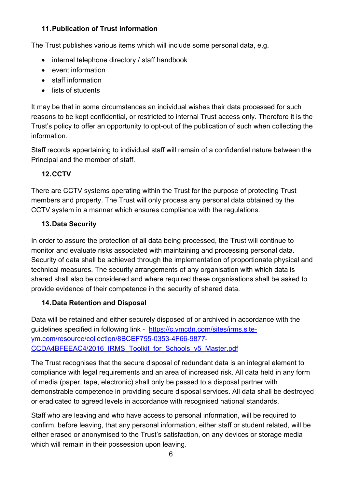## **11.Publication of Trust information**

The Trust publishes various items which will include some personal data, e.g.

- internal telephone directory / staff handbook
- event information
- staff information
- lists of students

It may be that in some circumstances an individual wishes their data processed for such reasons to be kept confidential, or restricted to internal Trust access only. Therefore it is the Trust's policy to offer an opportunity to opt-out of the publication of such when collecting the information.

Staff records appertaining to individual staff will remain of a confidential nature between the Principal and the member of staff.

# **12.CCTV**

There are CCTV systems operating within the Trust for the purpose of protecting Trust members and property. The Trust will only process any personal data obtained by the CCTV system in a manner which ensures compliance with the regulations.

# **13.Data Security**

In order to assure the protection of all data being processed, the Trust will continue to monitor and evaluate risks associated with maintaining and processing personal data. Security of data shall be achieved through the implementation of proportionate physical and technical measures. The security arrangements of any organisation with which data is shared shall also be considered and where required these organisations shall be asked to provide evidence of their competence in the security of shared data.

# **14.Data Retention and Disposal**

Data will be retained and either securely disposed of or archived in accordance with the guidelines specified in following link - https://c.ymcdn.com/sites/irms.siteym.com/resource/collection/8BCEF755-0353-4F66-9877- CCDA4BFEEAC4/2016\_IRMS\_Toolkit\_for\_Schools\_v5\_Master.pdf

The Trust recognises that the secure disposal of redundant data is an integral element to compliance with legal requirements and an area of increased risk. All data held in any form of media (paper, tape, electronic) shall only be passed to a disposal partner with demonstrable competence in providing secure disposal services. All data shall be destroyed or eradicated to agreed levels in accordance with recognised national standards.

Staff who are leaving and who have access to personal information, will be required to confirm, before leaving, that any personal information, either staff or student related, will be either erased or anonymised to the Trust's satisfaction, on any devices or storage media which will remain in their possession upon leaving.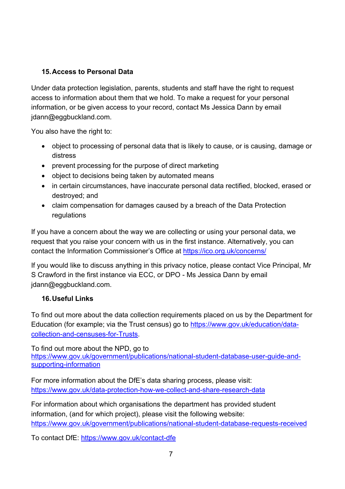## **15.Access to Personal Data**

Under data protection legislation, parents, students and staff have the right to request access to information about them that we hold. To make a request for your personal information, or be given access to your record, contact Ms Jessica Dann by email jdann@eggbuckland.com.

You also have the right to:

- object to processing of personal data that is likely to cause, or is causing, damage or distress
- prevent processing for the purpose of direct marketing
- object to decisions being taken by automated means
- in certain circumstances, have inaccurate personal data rectified, blocked, erased or destroyed; and
- claim compensation for damages caused by a breach of the Data Protection regulations

If you have a concern about the way we are collecting or using your personal data, we request that you raise your concern with us in the first instance. Alternatively, you can contact the Information Commissioner's Office at https://ico.org.uk/concerns/

If you would like to discuss anything in this privacy notice, please contact Vice Principal, Mr S Crawford in the first instance via ECC, or DPO - Ms Jessica Dann by email jdann@eggbuckland.com.

## **16.Useful Links**

To find out more about the data collection requirements placed on us by the Department for Education (for example; via the Trust census) go to https://www.gov.uk/education/datacollection-and-censuses-for-Trusts.

To find out more about the NPD, go to https://www.gov.uk/government/publications/national-student-database-user-guide-andsupporting-information

For more information about the DfE's data sharing process, please visit: https://www.gov.uk/data-protection-how-we-collect-and-share-research-data

For information about which organisations the department has provided student information, (and for which project), please visit the following website: https://www.gov.uk/government/publications/national-student-database-requests-received

To contact DfE: https://www.gov.uk/contact-dfe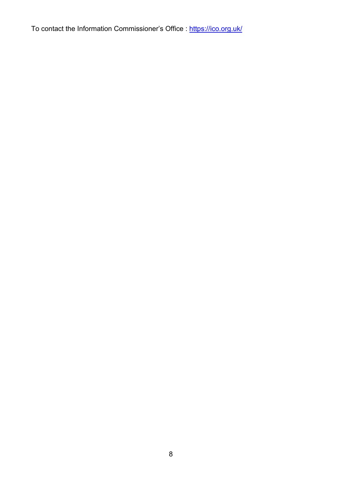To contact the Information Commissioner's Office : https://ico.org.uk/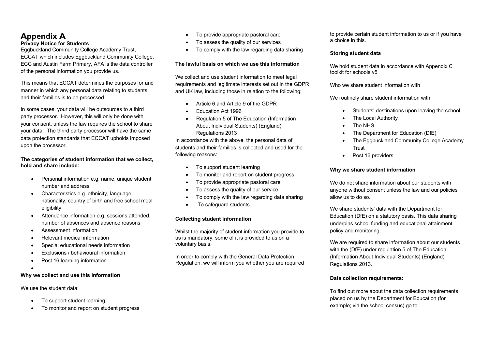# **Appendix A**

### **Privacy Notice for Students**

Eggbuckland Community College Academy Trust, ECCAT which includes Eggbuckland Community College, ECC and Austin Farm Primary, AFA is the data controller of the personal information you provide us.

This means that ECCAT determines the purposes for and manner in which any personal data relating to students and their families is to be processed.

In some cases, your data will be outsources to a third party processor. However, this will only be done with your consent, unless the law requires the school to share your data. The thrird party processor will have the same data protection standards that ECCAT upholds imposed upon the processor.

### **The categories of student information that we collect, hold and share include:**

- Personal information e.g. name, unique student number and address
- Characteristics e.g. ethnicity, language, nationality, country of birth and free school meal eligibility
- Attendance information e.g. sessions attended, number of absences and absence reasons
- Assessment information
- Relevant medical information
- Special educational needs information
- Exclusions / behavioural information
- Post 16 learning information
- •

### **Why we collect and use this information**

We use the student data:

- To support student learning
- To monitor and report on student progress
- To provide appropriate pastoral care
- To assess the quality of our services
- To comply with the law regarding data sharing

### **The lawful basis on which we use this information**

We collect and use student information to meet legal requirements and legitimate interests set out in the GDPR and UK law, including those in relation to the following:

- Article 6 and Article 9 of the GDPR
- Education Act 1996
- Regulation 5 of The Education (Information About Individual Students) (England) Regulations 2013

In accordance with the above, the personal data of students and their families is collected and used for the following reasons:

- To support student learning
- To monitor and report on student progress
- To provide appropriate pastoral care
- To assess the quality of our service
- To comply with the law regarding data sharing
- To safeguard students

### **Collecting student information**

Whilst the majority of student information you provide to us is mandatory, some of it is provided to us on a voluntary basis.

In order to comply with the General Data Protection Regulation, we will inform you whether you are required to provide certain student information to us or if you have a choice in this.

### **Storing student data**

We hold student data in accordance with Appendix C toolkit for schools v5

Who we share student information with

We routinely share student information with:

- Students' destinations upon leaving the school
- **The Local Authority**
- The NHS
- The Department for Education (DfE)
- The Eggbuckland Community College Academy **Trust**
- Post 16 providers

### **Why we share student information**

We do not share information about our students with anyone without consent unless the law and our policies allow us to do so.

We share students' data with the Department for Education (DfE) on a statutory basis. This data sharing underpins school funding and educational attainment policy and monitoring.

We are required to share information about our students with the (DfE) under regulation 5 of The Education (Information About Individual Students) (England) Regulations 2013.

### **Data collection requirements:**

To find out more about the data collection requirements placed on us by the Department for Education (for example; via the school census) go to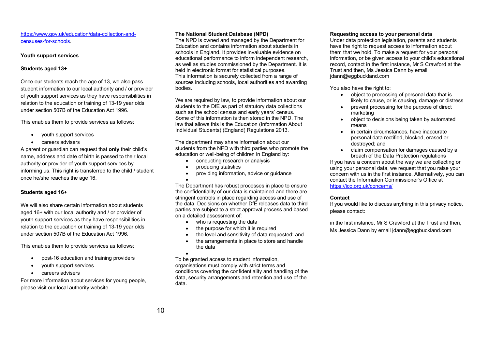### https://www.gov.uk/education/data-collection-andcensuses-for-schools.

#### **Youth support services**

### **Students aged 13+**

Once our students reach the age of 13, we also pass student information to our local authority and / or provider of youth support services as they have responsibilities in relation to the education or training of 13-19 year olds under section 507B of the Education Act 1996.

This enables them to provide services as follows:

- youth support services
- careers advisers

A parent or guardian can request that **only** their child's name, address and date of birth is passed to their local authority or provider of youth support services by informing us. This right is transferred to the child / student once he/she reaches the age 16.

### **Students aged 16+**

We will also share certain information about students aged 16+ with our local authority and / or provider of youth support services as they have responsibilities in relation to the education or training of 13-19 year olds under section 507B of the Education Act 1996.

This enables them to provide services as follows:

- post-16 education and training providers
- youth support services
- careers advisers

For more information about services for young people, please visit our local authority website.

### **The National Student Database (NPD)**

The NPD is owned and managed by the Department for Education and contains information about students in schools in England. It provides invaluable evidence on educational performance to inform independent research, as well as studies commissioned by the Department. It is held in electronic format for statistical purposes. This information is securely collected from a range of sources including schools, local authorities and awarding bodies.

We are required by law, to provide information about our students to the DfE as part of statutory data collections such as the school census and early years' census. Some of this information is then stored in the NPD. The law that allows this is the Education (Information About Individual Students) (England) Regulations 2013.

The department may share information about our students from the NPD with third parties who promote the education or well-being of children in England by:

- conducting research or analysis
- producing statistics
- providing information, advice or guidance
- •

The Department has robust processes in place to ensure the confidentiality of our data is maintained and there are stringent controls in place regarding access and use of the data. Decisions on whether DfE releases data to third parties are subject to a strict approval process and based on a detailed assessment of:

- who is requesting the data
- the purpose for which it is required
- the level and sensitivity of data requested: and • the arrangements in place to store and handle the data

• To be granted access to student information, organisations must comply with strict terms and conditions covering the confidentiality and handling of the data, security arrangements and retention and use of the data.

#### **Requesting access to your personal data**

Under data protection legislation, parents and students have the right to request access to information about them that we hold. To make a request for your personal information, or be given access to your child's educational record, contact in the first instance, Mr S Crawford at the Trust and then, Ms Jessica Dann by email jdann@eggbuckland.com

You also have the right to:

- object to processing of personal data that is likely to cause, or is causing, damage or distress
- prevent processing for the purpose of direct marketing
- object to decisions being taken by automated means
- in certain circumstances, have inaccurate personal data rectified, blocked, erased or destroyed; and
- claim compensation for damages caused by a breach of the Data Protection regulations

If you have a concern about the way we are collecting or using your personal data, we request that you raise your concern with us in the first instance. Alternatively, you can contact the Information Commissioner's Office at https://ico.org.uk/concerns/

### **Contact**

If you would like to discuss anything in this privacy notice, please contact:

in the first instance, Mr S Crawford at the Trust and then, Ms Jessica Dann by email jdann@eggbuckland.com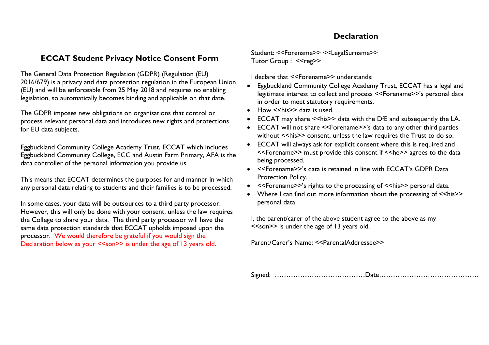## **Declaration**

## **ECCAT Student Privacy Notice Consent Form**

The General Data Protection Regulation (GDPR) (Regulation (EU) 2016/679) is a privacy and data protection regulation in the European Union (EU) and will be enforceable from 25 May 2018 and requires no enabling legislation, so automatically becomes binding and applicable on that date.

The GDPR imposes new obligations on organisations that control or process relevant personal data and introduces new rights and protections for EU data subjects.

Eggbuckland Community College Academy Trust, ECCAT which includes Eggbuckland Community College, ECC and Austin Farm Primary, AFA is the data controller of the personal information you provide us.

This means that ECCAT determines the purposes for and manner in which any personal data relating to students and their families is to be processed.

In some cases, your data will be outsources to a third party processor. However, this will only be done with your consent, unless the law requires the College to share your data. The third party processor will have the same data protection standards that ECCAT upholds imposed upon the processor. We would therefore be grateful if you would sign the Declaration below as your <<son>> is under the age of 13 years old.

Student: <<Forename>> <<LegalSurname>> Tutor Group: <<reg>>

I declare that <<Forename>> understands:

- Eggbuckland Community College Academy Trust, ECCAT has a legal and legitimate interest to collect and process <<Forename>>'s personal data in order to meet statutory requirements.
- $\bullet$  How  $\le$ his>> data is used.
- ECCAT may share << his>> data with the DfE and subsequently the LA.
- ECCAT will not share <<Forename>>'s data to any other third parties without << his>> consent, unless the law requires the Trust to do so.
- ECCAT will always ask for explicit consent where this is required and <<Forename>> must provide this consent if <<he>> agrees to the data being processed.
- <<Forename>>'s data is retained in line with ECCAT's GDPR Data Protection Policy.
- <<Forename>>'s rights to the processing of <<his>> personal data.
- Where I can find out more information about the processing of  $\le$ his>> personal data.

I, the parent/carer of the above student agree to the above as my <<son>> is under the age of 13 years old.

Parent/Carer's Name: <<ParentalAddressee>>

Signed: …………………………………Date…………………………………….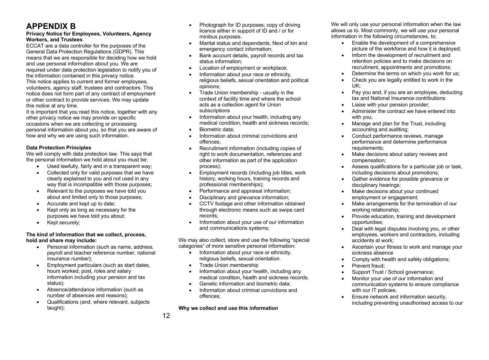# **APPENDIX B**

### **Privacy Notice for Employees, Volunteers, Agency Workers, and Trustees**

ECCAT are a data controller for the purposes of the General Data Protection Regulations (GDPR). This means that we are responsible for deciding how we hold and use personal information about you. We are required under data protection legislation to notify you of the information contained in this privacy notice. This notice applies to current and former employees, volunteers, agency staff, trustees and contractors. This notice does not form part of any contract of employment or other contract to provide services. We may update this notice at any time.

It is important that you read this notice, together with any other privacy notice we may provide on specific occasions when we are collecting or processing personal information about you, so that you are aware of how and why we are using such information.

### **Data Protection Principles**

We will comply with data protection law. This says that the personal information we hold about you must be:

- Used lawfully, fairly and in a transparent way;
- Collected only for valid purposes that we have clearly explained to you and not used in any way that is incompatible with those purposes;
- Relevant to the purposes we have told you about and limited only to those purposes;
- Accurate and kept up to date;
- Kept only as long as necessary for the purposes we have told you about;
- Kept securely;

### **The kind of information that we collect, process, hold and share may include:**

- Personal information (such as name, address, payroll and teacher reference number, national insurance number);
- Employment particulars (such as start dates, hours worked, post, roles and salary information including your pension and tax status);
- Absence/attendance information (such as number of absences and reasons);
- Qualifications (and, where relevant, subjects taught);
- Photograph for ID purposes; copy of driving licence either in support of ID and / or for minibus purposes.
- Marital status and dependants, Next of kin and emergency contact information;
- Bank account details, payroll records and tax status information;
- Location of employment or workplace;
- Information about your race or ethnicity, religious beliefs, sexual orientation and political opinions;
- Trade Union membership usually in the context of facility time and where the school acts as a collection agent for Union subscriptions
- Information about your health, including any medical condition, health and sickness records;
- Biometric data;
- Information about criminal convictions and offences;
- Recruitment information (including copies of right to work documentation, references and other information as part of the application process);
- Employment records (including job titles, work history, working hours, training records and professional memberships);
- Performance and appraisal information;
- Disciplinary and grievance information;
- CCTV footage and other information obtained through electronic means such as swipe card records;
- Information about your use of our information and communications systems;

We may also collect, store and use the following "special categories" of more sensitive personal information:

- Information about your race or ethnicity. religious beliefs, sexual orientation.
- Trade Union membership
- Information about your health, including any medical condition, health and sickness records.
- Genetic information and biometric data;
- Information about criminal convictions and offences;

**Why we collect and use this information** 

We will only use your personal information when the law allows us to. Most commonly, we will use your personal information in the following circumstances, to;

- Enable the development of a comprehensive picture of the workforce and how it is deployed;
- Inform the development of recruitment and retention policies and to make decisions on recruitment, appointments and promotions;
- Determine the terms on which you work for us;
	- Check you are legally entitled to work in the UK;
	- Pay you and, if you are an employee, deducting tax and National Insurance contributions
	- Liaise with your pension provider;
	- Administer the contract we have entered into with you;
	- Manage and plan for the Trust, including accounting and auditing;
	- Conduct performance reviews, manage performance and determine performance requirements;
	- Make decisions about salary reviews and compensation;
	- Assess qualifications for a particular job or task, including decisions about promotions;
	- Gather evidence for possible grievance or disciplinary hearings;
	- Make decisions about your continued employment or engagement;
	- Make arrangements for the termination of our working relationship;
	- Provide education, training and development opportunities;
	- Deal with legal disputes involving you, or other employees, workers and contractors, including accidents at work;
	- Ascertain your fitness to work and manage your sickness absence
	- Comply with health and safety obligations;
	- Prevent fraud;
	- Support Trust / School governance;
	- Monitor your use of our information and communication systems to ensure compliance with our IT policies;
	- Ensure network and information security, including preventing unauthorised access to our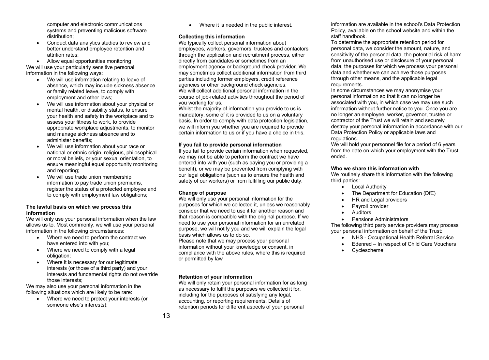computer and electronic communications systems and preventing malicious software distribution;

• Conduct data analytics studies to review and better understand employee retention and attrition rates;

• Allow equal opportunities monitoring We will use your particularly sensitive personal information in the following ways:

- We will use information relating to leave of absence, which may include sickness absence or family related leave, to comply with employment and other laws;
- We will use information about your physical or mental health, or disability status, to ensure your health and safety in the workplace and to assess your fitness to work, to provide appropriate workplace adjustments, to monitor and manage sickness absence and to administer benefits;
- We will use information about your race or national or ethnic origin, religious, philosophical or moral beliefs, or your sexual orientation, to ensure meaningful equal opportunity monitoring and reporting;
- We will use trade union membership information to pay trade union premiums, register the status of a protected employee and to comply with employment law obligations;

#### **The lawful basis on which we process this information**

We will only use your personal information when the law allows us to. Most commonly, we will use your personal information in the following circumstances:

- Where we need to perform the contract we have entered into with you;
- Where we need to comply with a legal obligation;
- Where it is necessary for our legitimate interests (or those of a third party) and your interests and fundamental rights do not override those interests;

We may also use your personal information in the following situations which are likely to be rare:

• Where we need to protect your interests (or someone else's interests);

• Where it is needed in the public interest.

### **Collecting this information**

We typically collect personal information about employees, workers, governors, trustees and contactors through the application and recruitment process, either directly from candidates or sometimes from an employment agency or background check provider. We may sometimes collect additional information from third parties including former employers, credit reference agencies or other background check agencies. We will collect additional personal information in the course of job-related activities throughout the period of you working for us.

Whilst the majority of information you provide to us is mandatory, some of it is provided to us on a voluntary basis. In order to comply with data protection legislation, we will inform you whether you are required to provide certain information to us or if you have a choice in this.

#### **If you fail to provide personal information**

If you fail to provide certain information when requested, we may not be able to perform the contract we have entered into with you (such as paying you or providing a benefit), or we may be prevented from complying with our legal obligations (such as to ensure the health and safety of our workers) or from fulfilling our public duty.

### **Change of purpose**

We will only use your personal information for the purposes for which we collected it, unless we reasonably consider that we need to use it for another reason and that reason is compatible with the original purpose. If we need to use your personal information for an unrelated purpose, we will notify you and we will explain the legal basis which allows us to do so.

Please note that we may process your personal information without your knowledge or consent, in compliance with the above rules, where this is required or permitted by law

### **Retention of your information**

We will only retain your personal information for as long as necessary to fulfil the purposes we collected it for, including for the purposes of satisfying any legal, accounting, or reporting requirements. Details of retention periods for different aspects of your personal

To determine the appropriate retention period for personal data, we consider the amount, nature, and sensitivity of the personal data, the potential risk of harm from unauthorised use or disclosure of your personal data, the purposes for which we process your personal data and whether we can achieve those purposes through other means, and the applicable legal requirements.

In some circumstances we may anonymise your personal information so that it can no longer be associated with you, in which case we may use such information without further notice to you. Once you are no longer an employee, worker, governor, trustee or contractor of the Trust we will retain and securely destroy your personal information in accordance with our Data Protection Policy or applicable laws and regulations.

We will hold your personnel file for a period of 6 years from the date on which your employment with the Trust ended.

### **Who we share this information with**

We routinely share this information with the following third parties:

- Local Authority
- The Department for Education (DfE)
- HR and Legal providers
- Payroll provider
- Auditors
- Pensions Administrators

The following third party service providers may process your personal information on behalf of the Trust:

- NHS Occupational Health Referral Service
- Edenred In respect of Child Care Vouchers
- Cyclescheme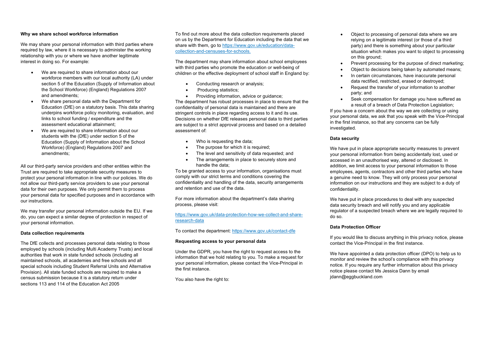#### **Why we share school workforce information**

We may share your personal information with third parties where required by law, where it is necessary to administer the working relationship with you or where we have another legitimate interest in doing so. For example:

- We are required to share information about our workforce members with our local authority (LA) under section 5 of the Education (Supply of Information about the School Workforce) (England) Regulations 2007 and amendments;
- We share personal data with the Department for Education (DfE) on a statutory basis. This data sharing underpins workforce policy monitoring, evaluation, and links to school funding / expenditure and the assessment educational attainment;
- We are required to share information about our students with the (DfE) under section 5 of the Education (Supply of Information about the School Workforce) (England) Regulations 2007 and amendments;

All our third-party service providers and other entities within the Trust are required to take appropriate security measures to protect your personal information in line with our policies. We do not allow our third-party service providers to use your personal data for their own purposes. We only permit them to process your personal data for specified purposes and in accordance with our instructions.

We may transfer your personal information outside the EU. If we do, you can expect a similar degree of protection in respect of your personal information.

#### **Data collection requirements**

The DfE collects and processes personal data relating to those employed by schools (including Multi Academy Trusts) and local authorities that work in state funded schools (including all maintained schools, all academies and free schools and all special schools including Student Referral Units and Alternative Provision). All state funded schools are required to make a census submission because it is a statutory return under sections 113 and 114 of the Education Act 2005

To find out more about the data collection requirements placed on us by the Department for Education including the data that we share with them, go to https://www.gov.uk/education/datacollection-and-censuses-for-schools.

The department may share information about school employees with third parties who promote the education or well-being of children or the effective deployment of school staff in England by:

- Conducting research or analysis;
- Producing statistics;

• Providing information, advice or guidance; The department has robust processes in place to ensure that the confidentiality of personal data is maintained and there are stringent controls in place regarding access to it and its use. Decisions on whether DfE releases personal data to third parties are subject to a strict approval process and based on a detailed assessment of:

- Who is requesting the data;
- The purpose for which it is required;
- The level and sensitivity of data requested: and
- The arrangements in place to securely store and handle the data;

To be granted access to your information, organisations must comply with our strict terms and conditions covering the confidentiality and handling of the data, security arrangements and retention and use of the data.

For more information about the department's data sharing process, please visit:

#### https://www.gov.uk/data-protection-how-we-collect-and-shareresearch-data

To contact the department: https://www.gov.uk/contact-dfe

#### **Requesting access to your personal data**

Under the GDPR, you have the right to request access to the information that we hold relating to you. To make a request for your personal information, please contact the Vice-Principal in the first instance.

You also have the right to:

- Object to processing of personal data where we are relying on a legitimate interest (or those of a third party) and there is something about your particular situation which makes you want to object to processing on this ground;
- Prevent processing for the purpose of direct marketing;
- Object to decisions being taken by automated means;
- In certain circumstances, have inaccurate personal data rectified, restricted, erased or destroyed;
- Request the transfer of your information to another party; and
- Seek compensation for damage you have suffered as a result of a breach of Data Protection Legislation;

If you have a concern about the way we are collecting or using your personal data, we ask that you speak with the Vice-Principal in the first instance, so that any concerns can be fully investigated.

#### **Data security**

We have put in place appropriate security measures to prevent your personal information from being accidentally lost, used or accessed in an unauthorised way, altered or disclosed. In addition, we limit access to your personal information to those employees, agents, contractors and other third parties who have a genuine need to know. They will only process your personal information on our instructions and they are subject to a duty of confidentiality.

We have put in place procedures to deal with any suspected data security breach and will notify you and any applicable regulator of a suspected breach where we are legally required to do so.

#### **Data Protection Officer**

If you would like to discuss anything in this privacy notice, please contact the Vice-Principal in the first instance.

We have appointed a data protection officer (DPO) to help us to monitor and review the school's compliance with this privacy notice. If you require any further information about this privacy notice please contact Ms Jessica Dann by email jdann@eggbuckland.com